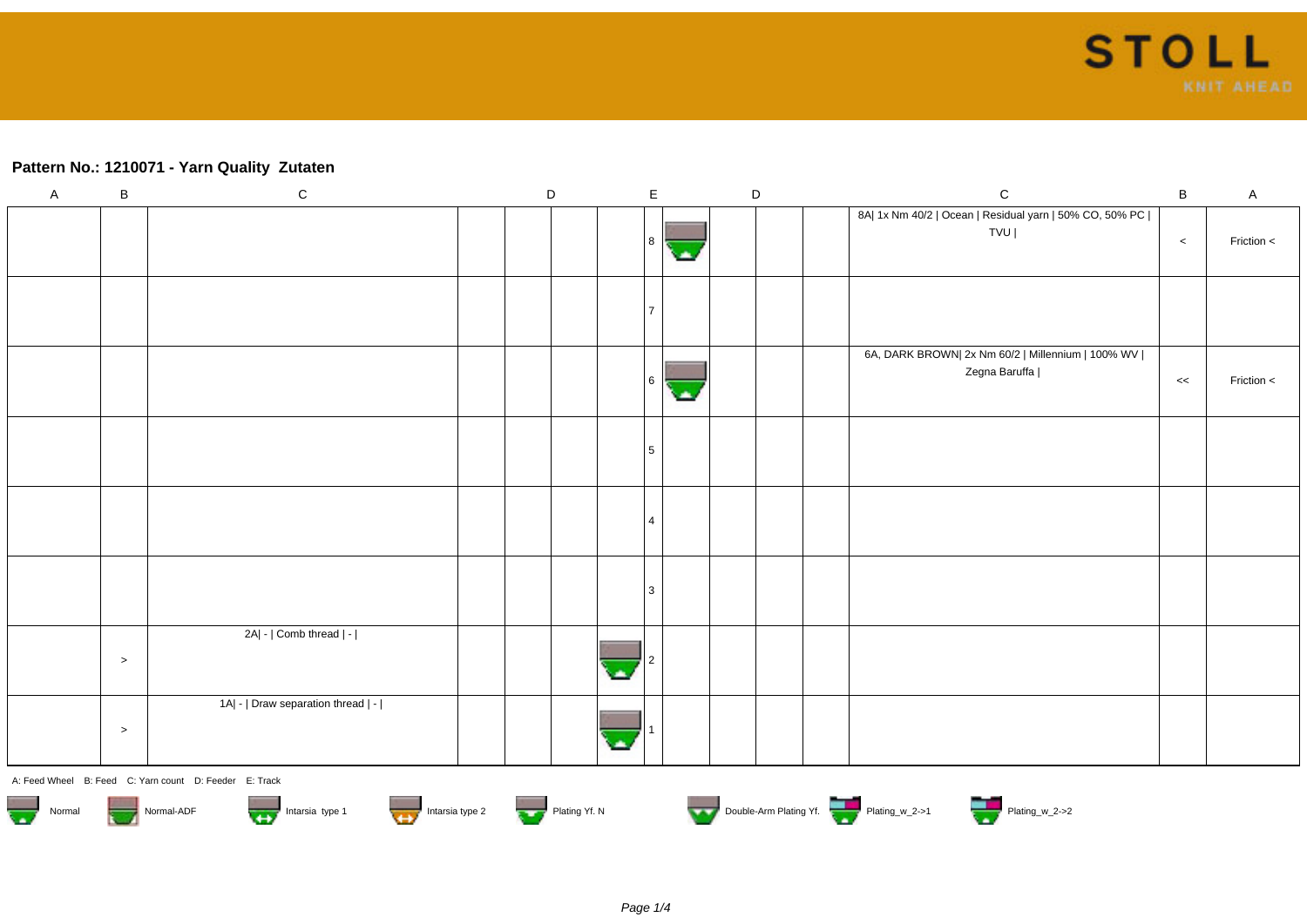## **Pattern No.: 1210071 - Yarn Quality Zutaten**

| $\mathsf A$                                                                                                                      | $\, {\bf B}$ | ${\bf C}$                          | $\mathsf D$ |  |   | $\mathsf E$ |  | $\mathsf D$ |  | $\mathsf C$                                                          | $\, {\bf B}$ | A          |
|----------------------------------------------------------------------------------------------------------------------------------|--------------|------------------------------------|-------------|--|---|-------------|--|-------------|--|----------------------------------------------------------------------|--------------|------------|
|                                                                                                                                  |              |                                    |             |  |   | 8           |  |             |  | 8A  1x Nm 40/2   Ocean   Residual yarn   50% CO, 50% PC  <br>TVU     | $\,<$        | Friction < |
|                                                                                                                                  |              |                                    |             |  |   |             |  |             |  |                                                                      |              |            |
|                                                                                                                                  |              |                                    |             |  |   | 16          |  |             |  | 6A, DARK BROWN  2x Nm 60/2   Millennium   100% WV  <br>Zegna Baruffa | $<<$         | Friction < |
|                                                                                                                                  |              |                                    |             |  |   | 5           |  |             |  |                                                                      |              |            |
|                                                                                                                                  |              |                                    |             |  |   |             |  |             |  |                                                                      |              |            |
|                                                                                                                                  |              |                                    |             |  |   | 3           |  |             |  |                                                                      |              |            |
|                                                                                                                                  | $\geq$       | 2A  -   Comb thread   -            |             |  | ۸ |             |  |             |  |                                                                      |              |            |
|                                                                                                                                  | $\,>$        | 1A  -   Draw separation thread   - |             |  |   |             |  |             |  |                                                                      |              |            |
| A: Feed Wheel B: Feed C: Yarn count D: Feeder E: Track                                                                           |              |                                    |             |  |   |             |  |             |  |                                                                      |              |            |
| Double-Arm Plating Yf.<br>Intarsia type 2<br>Intarsia type 1<br>Normal-ADF<br>Plating Yf. N<br>$\overline{\mathbf{w}}$<br>Normal |              |                                    |             |  |   |             |  |             |  |                                                                      |              |            |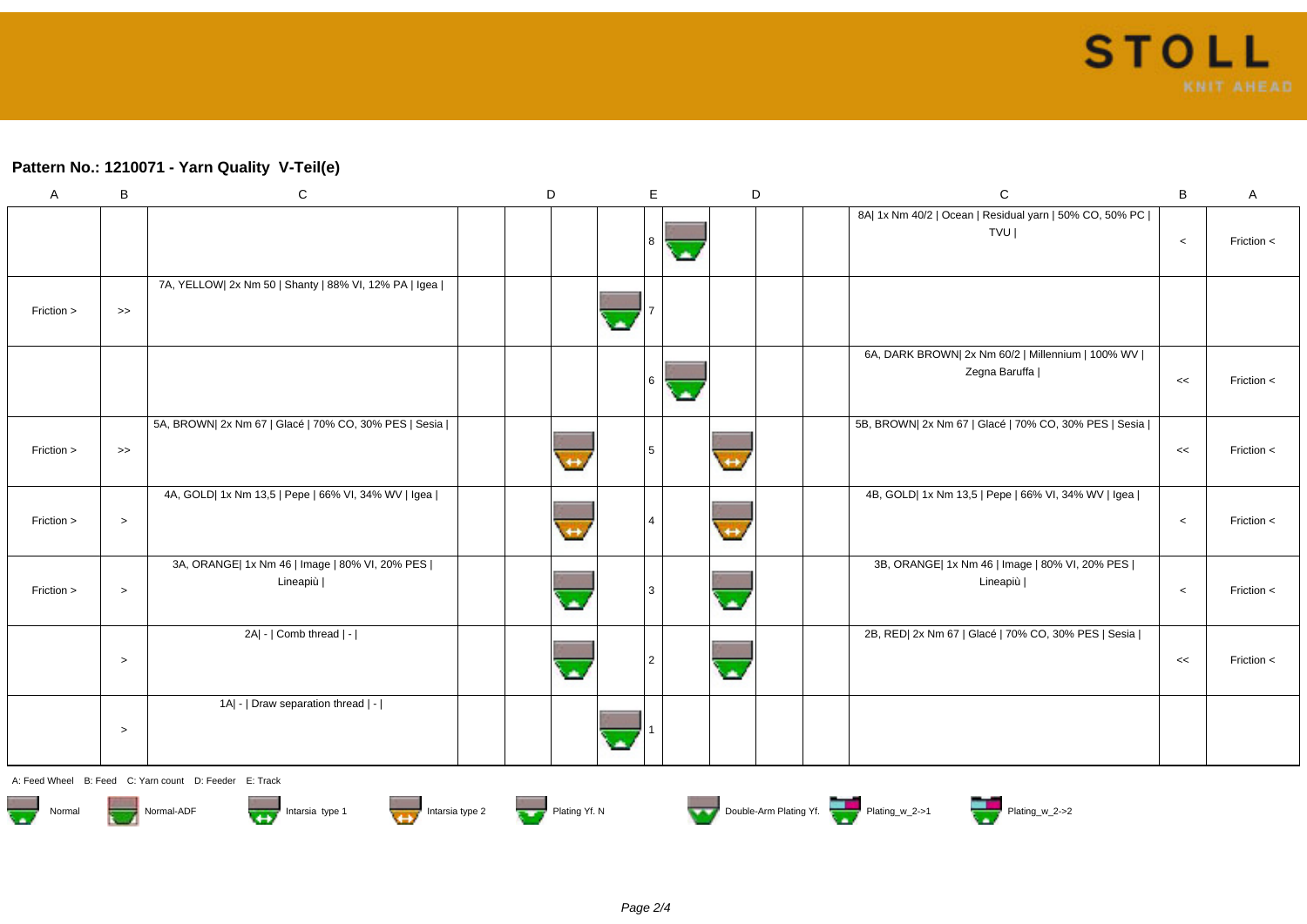## **Pattern No.: 1210071 - Yarn Quality V-Teil(e)**

| Α          | B                 | $\mathbf C$                                                  | D | E   | D                        | $\mathbf C$                                                          | B       | A              |
|------------|-------------------|--------------------------------------------------------------|---|-----|--------------------------|----------------------------------------------------------------------|---------|----------------|
|            |                   |                                                              |   | l 8 |                          | 8A  1x Nm 40/2   Ocean   Residual yarn   50% CO, 50% PC  <br>TVU     | $\,<\,$ | Friction <     |
| Friction > | $\boldsymbol{>>}$ | 7A, YELLOW  2x Nm 50   Shanty   88% VI, 12% PA   Igea        |   |     |                          |                                                                      |         |                |
|            |                   |                                                              |   | l 6 |                          | 6A, DARK BROWN  2x Nm 60/2   Millennium   100% WV  <br>Zegna Baruffa | <<      | Friction <     |
| Friction > | $\Rightarrow$     | 5A, BROWN  2x Nm 67   Glacé   70% CO, 30% PES   Sesia        |   |     |                          | 5B, BROWN  2x Nm 67   Glacé   70% CO, 30% PES   Sesia                | <<      | Friction <     |
| Friction > | $\,>$             | 4A, GOLD  1x Nm 13,5   Pepe   66% VI, 34% WV   Igea          |   |     | $\leftrightarrow$        | 4B, GOLD  1x Nm 13,5   Pepe   66% VI, 34% WV   Igea                  | $\,<$   | Friction <     |
| Friction > | $\,>$             | 3A, ORANGE  1x Nm 46   Image   80% VI, 20% PES  <br>Lineapiù |   |     |                          | 3B, ORANGE  1x Nm 46   Image   80% VI, 20% PES  <br>Lineapiù         | $\,<$   | Friction $\lt$ |
|            | $\,>$             | $2A$   - $ $ Comb thread $ $ - $ $                           |   |     | $\overline{\phantom{a}}$ | 2B, RED  2x Nm 67   Glacé   70% CO, 30% PES   Sesia                  | <<      | Friction $\lt$ |
|            | $\,>$             | 1A  -   Draw separation thread   -                           |   |     |                          |                                                                      |         |                |

A: Feed Wheel B: Feed C: Yarn count D: Feeder E: Track















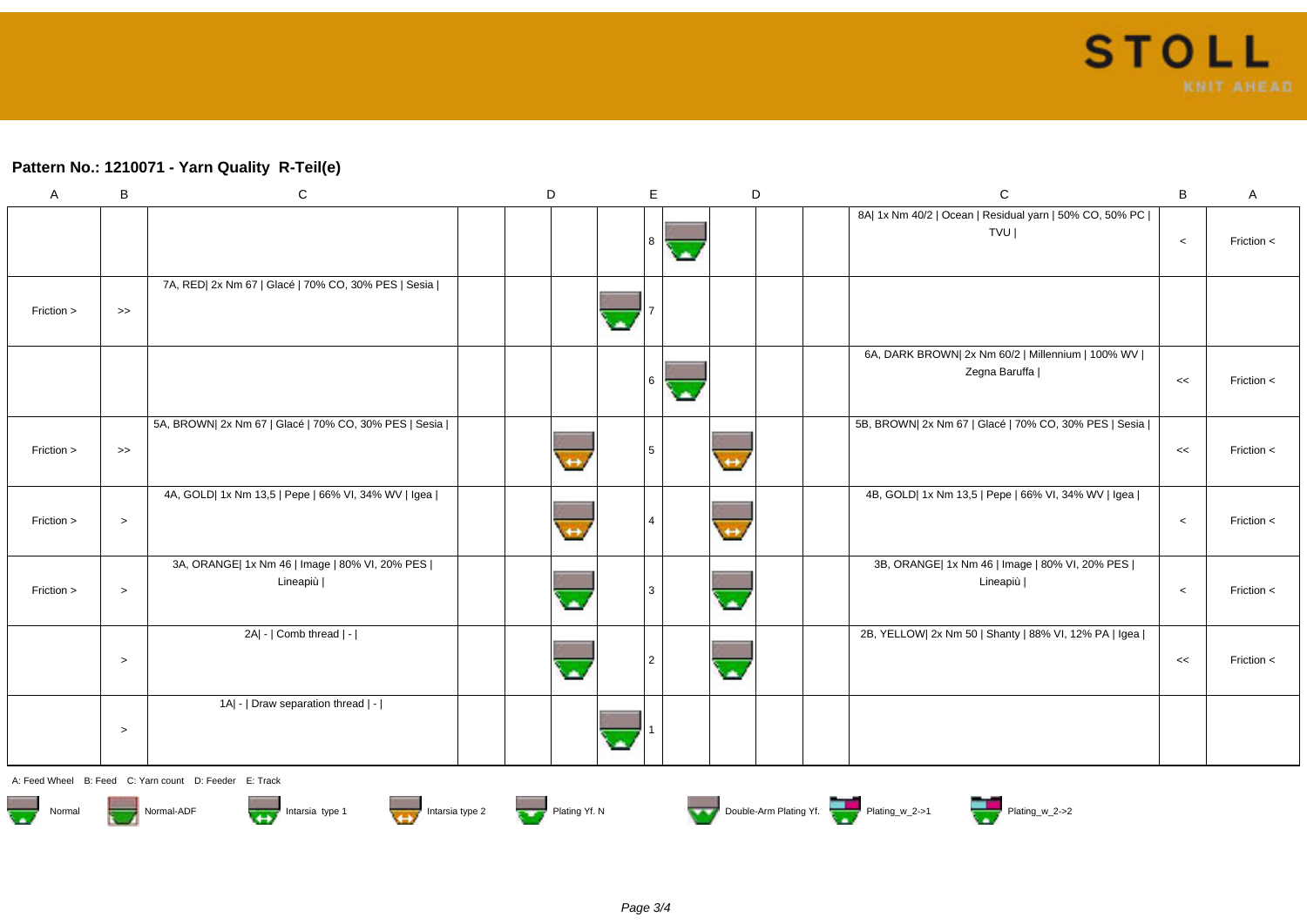## **Pattern No.: 1210071 - Yarn Quality R-Teil(e)**

| A          | B          | $\mathbf C$                                                  | D | E.             |                          | D | $\mathbf C$                                                          | B       | A              |
|------------|------------|--------------------------------------------------------------|---|----------------|--------------------------|---|----------------------------------------------------------------------|---------|----------------|
|            |            |                                                              |   | 8              |                          |   | 8A  1x Nm 40/2   Ocean   Residual yarn   50% CO, 50% PC  <br>TVU     | $\,<\,$ | Friction <     |
| Friction > | $\gt$      | 7A, RED  2x Nm 67   Glacé   70% CO, 30% PES   Sesia          |   |                |                          |   |                                                                      |         |                |
|            |            |                                                              |   | 6              |                          |   | 6A, DARK BROWN  2x Nm 60/2   Millennium   100% WV  <br>Zegna Baruffa | <<      | Friction $\lt$ |
| Friction > | $\,\gt{>}$ | 5A, BROWN  2x Nm 67   Glacé   70% CO, 30% PES   Sesia        |   | $5^{\circ}$    |                          |   | 5B, BROWN  2x Nm 67   Glacé   70% CO, 30% PES   Sesia                | $<<$    | Friction <     |
| Friction > | $\,>$      | 4A, GOLD  1x Nm 13,5   Pepe   66% VI, 34% WV   Igea          |   |                | $\leftrightarrow$        |   | 4B, GOLD  1x Nm 13,5   Pepe   66% VI, 34% WV   Igea                  | $\,<\,$ | Friction $\lt$ |
| Friction > | $\, >$     | 3A, ORANGE  1x Nm 46   Image   80% VI, 20% PES  <br>Lineapiù |   | 3              |                          |   | 3B, ORANGE  1x Nm 46   Image   80% VI, 20% PES  <br>Lineapiù         | $\,<$   | Friction <     |
|            | $\,>$      | 2A  -   Comb thread   -                                      |   | $\overline{2}$ | $\overline{\phantom{a}}$ |   | 2B, YELLOW  2x Nm 50   Shanty   88% VI, 12% PA   Igea                | <<      | Friction $\lt$ |
|            | $\,>$      | 1A  -   Draw separation thread   -                           |   |                |                          |   |                                                                      |         |                |

A: Feed Wheel B: Feed C: Yarn count D: Feeder E: Track